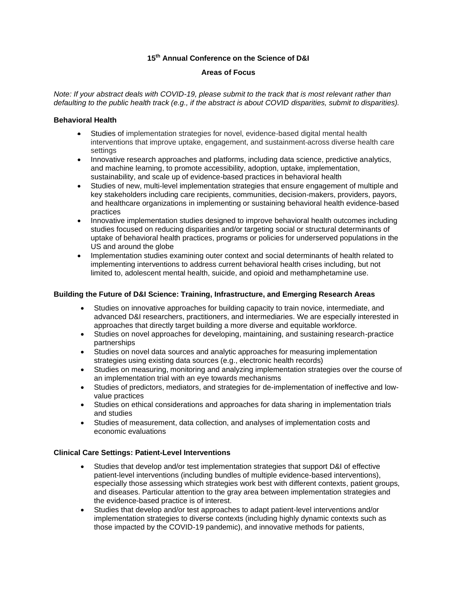# **15 th Annual Conference on the Science of D&I**

#### **Areas of Focus**

*Note: If your abstract deals with COVID-19, please submit to the track that is most relevant rather than defaulting to the public health track (e.g., if the abstract is about COVID disparities, submit to disparities).*

#### **Behavioral Health**

- Studies of implementation strategies for novel, evidence-based digital mental health interventions that improve uptake, engagement, and sustainment across diverse health care settings
- Innovative research approaches and platforms, including data science, predictive analytics, and machine learning, to promote accessibility, adoption, uptake, implementation, sustainability, and scale up of evidence-based practices in behavioral health
- Studies of new, multi-level implementation strategies that ensure engagement of multiple and key stakeholders including care recipients, communities, decision-makers, providers, payors, and healthcare organizations in implementing or sustaining behavioral health evidence-based practices
- Innovative implementation studies designed to improve behavioral health outcomes including studies focused on reducing disparities and/or targeting social or structural determinants of uptake of behavioral health practices, programs or policies for underserved populations in the US and around the globe
- Implementation studies examining outer context and social determinants of health related to implementing interventions to address current behavioral health crises including, but not limited to, adolescent mental health, suicide, and opioid and methamphetamine use.

# **Building the Future of D&I Science: Training, Infrastructure, and Emerging Research Areas**

- Studies on innovative approaches for building capacity to train novice, intermediate, and advanced D&I researchers, practitioners, and intermediaries. We are especially interested in approaches that directly target building a more diverse and equitable workforce.
- Studies on novel approaches for developing, maintaining, and sustaining research-practice partnerships
- Studies on novel data sources and analytic approaches for measuring implementation strategies using existing data sources (e.g., electronic health records)
- Studies on measuring, monitoring and analyzing implementation strategies over the course of an implementation trial with an eye towards mechanisms
- Studies of predictors, mediators, and strategies for de-implementation of ineffective and lowvalue practices
- Studies on ethical considerations and approaches for data sharing in implementation trials and studies
- Studies of measurement, data collection, and analyses of implementation costs and economic evaluations

#### **Clinical Care Settings: Patient-Level Interventions**

- Studies that develop and/or test implementation strategies that support D&I of effective patient-level interventions (including bundles of multiple evidence-based interventions), especially those assessing which strategies work best with different contexts, patient groups, and diseases. Particular attention to the gray area between implementation strategies and the evidence-based practice is of interest.
- Studies that develop and/or test approaches to adapt patient-level interventions and/or implementation strategies to diverse contexts (including highly dynamic contexts such as those impacted by the COVID-19 pandemic), and innovative methods for patients,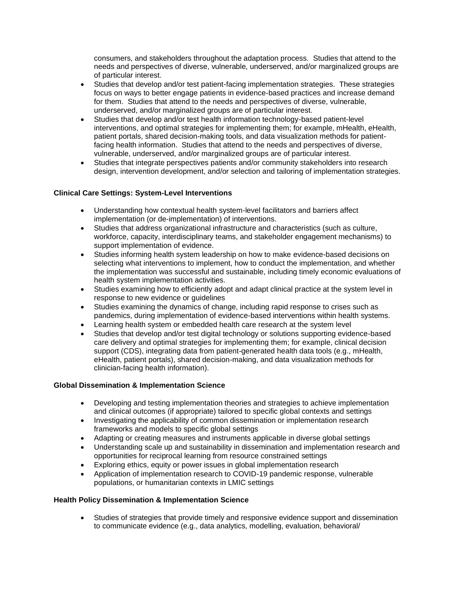consumers, and stakeholders throughout the adaptation process. Studies that attend to the needs and perspectives of diverse, vulnerable, underserved, and/or marginalized groups are of particular interest.

- Studies that develop and/or test patient-facing implementation strategies. These strategies focus on ways to better engage patients in evidence-based practices and increase demand for them. Studies that attend to the needs and perspectives of diverse, vulnerable, underserved, and/or marginalized groups are of particular interest.
- Studies that develop and/or test health information technology-based patient-level interventions, and optimal strategies for implementing them; for example, mHealth, eHealth, patient portals, shared decision-making tools, and data visualization methods for patientfacing health information. Studies that attend to the needs and perspectives of diverse, vulnerable, underserved, and/or marginalized groups are of particular interest.
- Studies that integrate perspectives patients and/or community stakeholders into research design, intervention development, and/or selection and tailoring of implementation strategies.

# **Clinical Care Settings: System-Level Interventions**

- Understanding how contextual health system-level facilitators and barriers affect implementation (or de-implementation) of interventions.
- Studies that address organizational infrastructure and characteristics (such as culture, workforce, capacity, interdisciplinary teams, and stakeholder engagement mechanisms) to support implementation of evidence.
- Studies informing health system leadership on how to make evidence-based decisions on selecting what interventions to implement, how to conduct the implementation, and whether the implementation was successful and sustainable, including timely economic evaluations of health system implementation activities.
- Studies examining how to efficiently adopt and adapt clinical practice at the system level in response to new evidence or guidelines
- Studies examining the dynamics of change, including rapid response to crises such as pandemics, during implementation of evidence-based interventions within health systems.
- Learning health system or embedded health care research at the system level
- Studies that develop and/or test digital technology or solutions supporting evidence-based care delivery and optimal strategies for implementing them; for example, clinical decision support (CDS), integrating data from patient-generated health data tools (e.g., mHealth, eHealth, patient portals), shared decision-making, and data visualization methods for clinician-facing health information).

# **Global Dissemination & Implementation Science**

- Developing and testing implementation theories and strategies to achieve implementation and clinical outcomes (if appropriate) tailored to specific global contexts and settings
- Investigating the applicability of common dissemination or implementation research frameworks and models to specific global settings
- Adapting or creating measures and instruments applicable in diverse global settings
- Understanding scale up and sustainability in dissemination and implementation research and opportunities for reciprocal learning from resource constrained settings
- Exploring ethics, equity or power issues in global implementation research
- Application of implementation research to COVID-19 pandemic response, vulnerable populations, or humanitarian contexts in LMIC settings

# **Health Policy Dissemination & Implementation Science**

• Studies of strategies that provide timely and responsive evidence support and dissemination to communicate evidence (e.g., data analytics, modelling, evaluation, behavioral/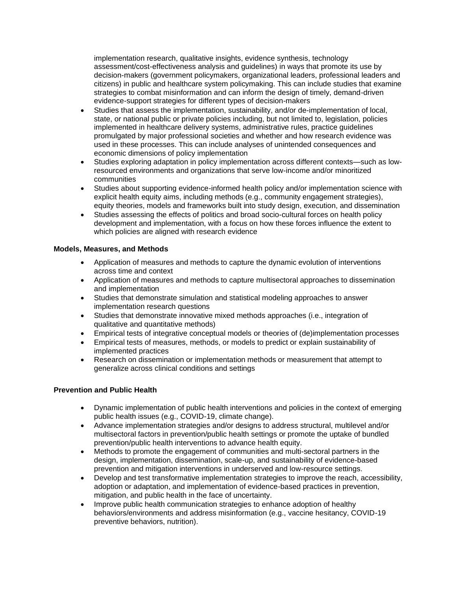implementation research, qualitative insights, evidence synthesis, technology assessment/cost-effectiveness analysis and guidelines) in ways that promote its use by decision-makers (government policymakers, organizational leaders, professional leaders and citizens) in public and healthcare system policymaking. This can include studies that examine strategies to combat misinformation and can inform the design of timely, demand-driven evidence-support strategies for different types of decision-makers

- Studies that assess the implementation, sustainability, and/or de-implementation of local, state, or national public or private policies including, but not limited to, legislation, policies implemented in healthcare delivery systems, administrative rules, practice guidelines promulgated by major professional societies and whether and how research evidence was used in these processes. This can include analyses of unintended consequences and economic dimensions of policy implementation
- Studies exploring adaptation in policy implementation across different contexts—such as lowresourced environments and organizations that serve low-income and/or minoritized communities
- Studies about supporting evidence-informed health policy and/or implementation science with explicit health equity aims, including methods (e.g., community engagement strategies), equity theories, models and frameworks built into study design, execution, and dissemination
- Studies assessing the effects of politics and broad socio-cultural forces on health policy development and implementation, with a focus on how these forces influence the extent to which policies are aligned with research evidence

# **Models, Measures, and Methods**

- Application of measures and methods to capture the dynamic evolution of interventions across time and context
- Application of measures and methods to capture multisectoral approaches to dissemination and implementation
- Studies that demonstrate simulation and statistical modeling approaches to answer implementation research questions
- Studies that demonstrate innovative mixed methods approaches (i.e., integration of qualitative and quantitative methods)
- Empirical tests of integrative conceptual models or theories of (de)implementation processes
- Empirical tests of measures, methods, or models to predict or explain sustainability of implemented practices
- Research on dissemination or implementation methods or measurement that attempt to generalize across clinical conditions and settings

# **Prevention and Public Health**

- Dynamic implementation of public health interventions and policies in the context of emerging public health issues (e.g., COVID-19, climate change).
- Advance implementation strategies and/or designs to address structural, multilevel and/or multisectoral factors in prevention/public health settings or promote the uptake of bundled prevention/public health interventions to advance health equity.
- Methods to promote the engagement of communities and multi-sectoral partners in the design, implementation, dissemination, scale-up, and sustainability of evidence-based prevention and mitigation interventions in underserved and low-resource settings.
- Develop and test transformative implementation strategies to improve the reach, accessibility, adoption or adaptation, and implementation of evidence-based practices in prevention, mitigation, and public health in the face of uncertainty.
- Improve public health communication strategies to enhance adoption of healthy behaviors/environments and address misinformation (e.g., vaccine hesitancy, COVID-19 preventive behaviors, nutrition).